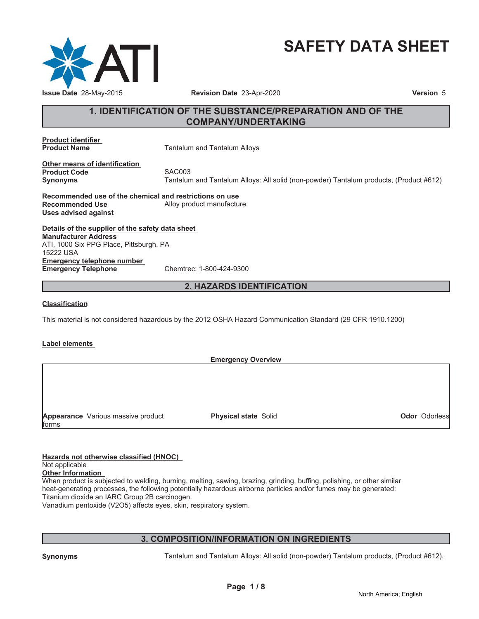

# **SAFETY DATA SHEET**

# **1. IDENTIFICATION OF THE SUBSTANCE/PREPARATION AND OF THE COMPANY/UNDERTAKING**

**Product identifier**

**Product Name** Tantalum and Tantalum Alloys

**Other means of identification Product Code** SAC003

**Synonyms** Tantalum and Tantalum Alloys: All solid (non-powder) Tantalum products, (Product #612)

**Recommended use of the chemical and restrictions on use Recommended Use** Alloy product manufacture. **Uses advised against**

**Details of the supplier of the safety data sheet Emergency telephone number Emergency Telephone** Chemtrec: 1-800-424-9300 **Manufacturer Address** ATI, 1000 Six PPG Place, Pittsburgh, PA 15222 USA

# **2. HAZARDS IDENTIFICATION**

# **Classification**

This material is not considered hazardous by the 2012 OSHA Hazard Communication Standard (29 CFR 1910.1200)

# **Label elements**

**Emergency Overview**

**Appearance** Various massive product forms

**Physical state** Solid **Odor** Odorless

**Hazards not otherwise classified (HNOC)** Not applicable **Other Information**

When product is subjected to welding, burning, melting, sawing, brazing, grinding, buffing, polishing, or other similar heat-generating processes, the following potentially hazardous airborne particles and/or fumes may be generated: Titanium dioxide an IARC Group 2B carcinogen.

Vanadium pentoxide (V2O5) affects eyes, skin, respiratory system.

# **3. COMPOSITION/INFORMATION ON INGREDIENTS**

**Synonyms** Tantalum and Tantalum Alloys: All solid (non-powder) Tantalum products, (Product #612).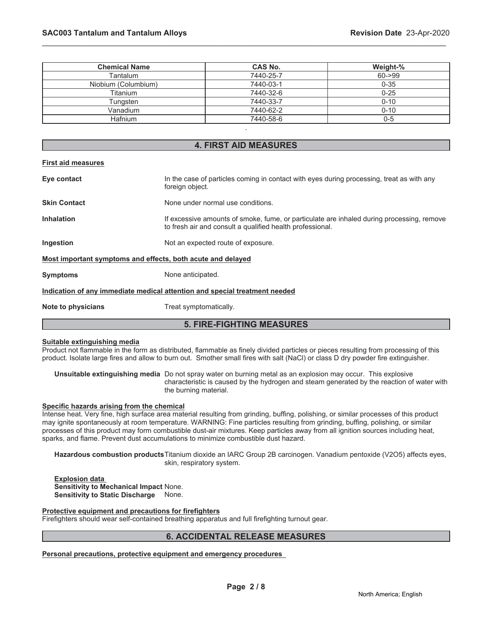| <b>Chemical Name</b> | <b>CAS No.</b> | Weight-%  |
|----------------------|----------------|-----------|
| Tantalum             | 7440-25-7      | $60 - 99$ |
| Niobium (Columbium)  | 7440-03-1      | $0 - 35$  |
| Titanium             | 7440-32-6      | $0 - 25$  |
| Tungsten             | 7440-33-7      | $0 - 10$  |
| Vanadium             | 7440-62-2      | $0 - 10$  |
| <b>Hafnium</b>       | 7440-58-6      | $0 - 5$   |
|                      |                |           |

# **4. FIRST AID MEASURES**

#### **First aid measures**

| Eye contact                                                                | In the case of particles coming in contact with eyes during processing, treat as with any<br>foreign object.                                           |  |
|----------------------------------------------------------------------------|--------------------------------------------------------------------------------------------------------------------------------------------------------|--|
| <b>Skin Contact</b>                                                        | None under normal use conditions.                                                                                                                      |  |
| <b>Inhalation</b>                                                          | If excessive amounts of smoke, fume, or particulate are inhaled during processing, remove<br>to fresh air and consult a qualified health professional. |  |
| Ingestion                                                                  | Not an expected route of exposure.                                                                                                                     |  |
| Most important symptoms and effects, both acute and delayed                |                                                                                                                                                        |  |
| <b>Symptoms</b>                                                            | None anticipated.                                                                                                                                      |  |
| Indication of any immediate medical attention and special treatment needed |                                                                                                                                                        |  |
| Note to physicians                                                         | Treat symptomatically.                                                                                                                                 |  |

# **5. FIRE-FIGHTING MEASURES**

#### **Suitable extinguishing media**

Product not flammable in the form as distributed, flammable as finely divided particles or pieces resulting from processing of this product. Isolate large fires and allow to burn out. Smother small fires with salt (NaCl) or class D dry powder fire extinguisher.

**Unsuitable extinguishing media** Do not spray water on burning metal as an explosion may occur. This explosive characteristic is caused by the hydrogen and steam generated by the reaction of water with the burning material.

#### **Specific hazards arising from the chemical**

Intense heat. Very fine, high surface area material resulting from grinding, buffing, polishing, or similar processes of this product may ignite spontaneously at room temperature. WARNING: Fine particles resulting from grinding, buffing, polishing, or similar processes of this product may form combustible dust-air mixtures. Keep particles away from all ignition sources including heat, sparks, and flame. Prevent dust accumulations to minimize combustible dust hazard.

**Hazardous combustion products**Titanium dioxide an IARC Group 2B carcinogen. Vanadium pentoxide (V2O5) affects eyes, skin, respiratory system.

**Explosion data Sensitivity to Mechanical Impact** None. **Sensitivity to Static Discharge** None.

**Protective equipment and precautions for firefighters**

Firefighters should wear self-contained breathing apparatus and full firefighting turnout gear.

# **6. ACCIDENTAL RELEASE MEASURES**

**Personal precautions, protective equipment and emergency procedures**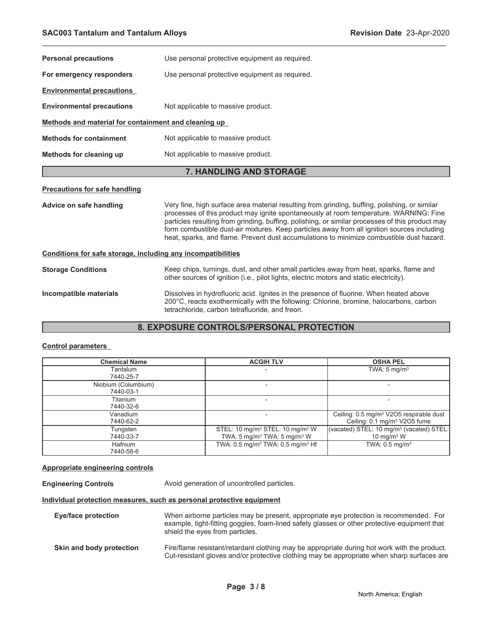| <b>Personal precautions</b>                                  | Use personal protective equipment as required.                                                                                                                                                                                                                                                                                                                                                                                                                                       |  |
|--------------------------------------------------------------|--------------------------------------------------------------------------------------------------------------------------------------------------------------------------------------------------------------------------------------------------------------------------------------------------------------------------------------------------------------------------------------------------------------------------------------------------------------------------------------|--|
| For emergency responders                                     | Use personal protective equipment as required.                                                                                                                                                                                                                                                                                                                                                                                                                                       |  |
| <b>Environmental precautions</b>                             |                                                                                                                                                                                                                                                                                                                                                                                                                                                                                      |  |
| <b>Environmental precautions</b>                             | Not applicable to massive product.                                                                                                                                                                                                                                                                                                                                                                                                                                                   |  |
| Methods and material for containment and cleaning up         |                                                                                                                                                                                                                                                                                                                                                                                                                                                                                      |  |
| <b>Methods for containment</b>                               | Not applicable to massive product.                                                                                                                                                                                                                                                                                                                                                                                                                                                   |  |
| Methods for cleaning up                                      | Not applicable to massive product.                                                                                                                                                                                                                                                                                                                                                                                                                                                   |  |
| 7. HANDLING AND STORAGE                                      |                                                                                                                                                                                                                                                                                                                                                                                                                                                                                      |  |
| <b>Precautions for safe handling</b>                         |                                                                                                                                                                                                                                                                                                                                                                                                                                                                                      |  |
| Advice on safe handling                                      | Very fine, high surface area material resulting from grinding, buffing, polishing, or similar<br>processes of this product may ignite spontaneously at room temperature. WARNING: Fine<br>particles resulting from grinding, buffing, polishing, or similar processes of this product may<br>form combustible dust-air mixtures. Keep particles away from all ignition sources including<br>heat, sparks, and flame. Prevent dust accumulations to minimize combustible dust hazard. |  |
| Conditions for safe storage, including any incompatibilities |                                                                                                                                                                                                                                                                                                                                                                                                                                                                                      |  |
| <b>Storage Conditions</b>                                    | Keep chips, turnings, dust, and other small particles away from heat, sparks, flame and<br>other sources of ignition (i.e., pilot lights, electric motors and static electricity).                                                                                                                                                                                                                                                                                                   |  |
| Incompatible materials                                       | Dissolves in hydrofluoric acid. Ignites in the presence of fluorine. When heated above<br>200°C, reacts exothermically with the following: Chlorine, bromine, halocarbons, carbon<br>tetrachloride, carbon tetrafluoride, and freon.                                                                                                                                                                                                                                                 |  |

# **8. EXPOSURE CONTROLS/PERSONAL PROTECTION**

# **Control parameters**

| <b>Chemical Name</b> | <b>ACGIH TLV</b>                                        | <b>OSHA PEL</b>                                      |
|----------------------|---------------------------------------------------------|------------------------------------------------------|
| Tantalum             |                                                         | TWA: $5 \text{ mg/m}^3$                              |
| 7440-25-7            |                                                         |                                                      |
| Niobium (Columbium)  |                                                         |                                                      |
| 7440-03-1            |                                                         |                                                      |
| Titanium             |                                                         |                                                      |
| 7440-32-6            |                                                         |                                                      |
| Vanadium             |                                                         | Ceiling: 0.5 mg/m <sup>3</sup> V2O5 respirable dust  |
| 7440-62-2            |                                                         | Ceiling: 0.1 mg/m <sup>3</sup> V2O5 fume             |
| Tungsten             | STEL: 10 mg/m <sup>3</sup> STEL: 10 mg/m <sup>3</sup> W | (vacated) STEL: 10 mg/m <sup>3</sup> (vacated) STEL: |
| 7440-33-7            | TWA: 5 mg/m <sup>3</sup> TWA: 5 mg/m <sup>3</sup> W     | 10 mg/m $3 W$                                        |
| Hafnium              | TWA: $0.5 \text{ mg/m}^3$ TWA: $0.5 \text{ mg/m}^3$ Hf  | TWA: $0.5$ mg/m <sup>3</sup>                         |
| 7440-58-6            |                                                         |                                                      |

# **Appropriate engineering controls**

**Engineering Controls Avoid generation of uncontrolled particles.** 

# **Individual protection measures, such as personal protective equipment**

| Eye/face protection      | When airborne particles may be present, appropriate eye protection is recommended. For<br>example, tight-fitting goggles, foam-lined safety glasses or other protective equipment that<br>shield the eyes from particles. |
|--------------------------|---------------------------------------------------------------------------------------------------------------------------------------------------------------------------------------------------------------------------|
| Skin and body protection | Fire/flame resistant/retardant clothing may be appropriate during hot work with the product.<br>Cut-resistant gloves and/or protective clothing may be appropriate when sharp surfaces are                                |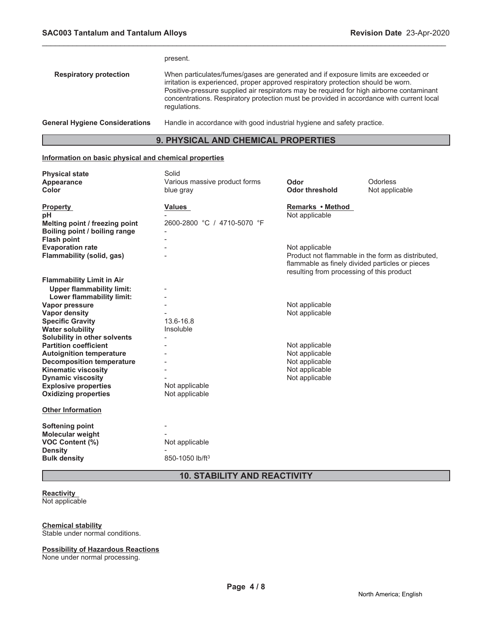|                                       | present.                                                                                                                                                                                                                                                                                                                                                                        |  |
|---------------------------------------|---------------------------------------------------------------------------------------------------------------------------------------------------------------------------------------------------------------------------------------------------------------------------------------------------------------------------------------------------------------------------------|--|
| <b>Respiratory protection</b>         | When particulates/fumes/gases are generated and if exposure limits are exceeded or<br>irritation is experienced, proper approved respiratory protection should be worn.<br>Positive-pressure supplied air respirators may be required for high airborne contaminant<br>concentrations. Respiratory protection must be provided in accordance with current local<br>regulations. |  |
| <b>General Hygiene Considerations</b> | Handle in accordance with good industrial hygiene and safety practice.                                                                                                                                                                                                                                                                                                          |  |

# **9. PHYSICAL AND CHEMICAL PROPERTIES**

# **Information on basic physical and chemical properties**

| <b>Physical state</b><br><b>Appearance</b><br>Color     | Solid<br>Various massive product forms<br>blue gray | Odor<br><b>Odor threshold</b>                                                                | Odorless<br>Not applicable                        |
|---------------------------------------------------------|-----------------------------------------------------|----------------------------------------------------------------------------------------------|---------------------------------------------------|
| <b>Property</b><br>рH<br>Melting point / freezing point | <b>Values</b><br>2600-2800 °C / 4710-5070 °F        | Remarks • Method<br>Not applicable                                                           |                                                   |
| Boiling point / boiling range                           |                                                     |                                                                                              |                                                   |
| <b>Flash point</b>                                      |                                                     |                                                                                              |                                                   |
| <b>Evaporation rate</b>                                 |                                                     | Not applicable                                                                               |                                                   |
| <b>Flammability (solid, gas)</b>                        |                                                     | flammable as finely divided particles or pieces<br>resulting from processing of this product | Product not flammable in the form as distributed, |
| <b>Flammability Limit in Air</b>                        |                                                     |                                                                                              |                                                   |
| <b>Upper flammability limit:</b>                        |                                                     |                                                                                              |                                                   |
| <b>Lower flammability limit:</b>                        |                                                     |                                                                                              |                                                   |
| Vapor pressure                                          |                                                     | Not applicable                                                                               |                                                   |
| <b>Vapor density</b>                                    |                                                     | Not applicable                                                                               |                                                   |
| <b>Specific Gravity</b>                                 | 13.6-16.8                                           |                                                                                              |                                                   |
| <b>Water solubility</b>                                 | Insoluble                                           |                                                                                              |                                                   |
| Solubility in other solvents                            |                                                     |                                                                                              |                                                   |
| <b>Partition coefficient</b>                            |                                                     | Not applicable                                                                               |                                                   |
| <b>Autoignition temperature</b>                         |                                                     | Not applicable                                                                               |                                                   |
| <b>Decomposition temperature</b>                        |                                                     | Not applicable<br>Not applicable                                                             |                                                   |
| <b>Kinematic viscosity</b><br><b>Dynamic viscosity</b>  |                                                     | Not applicable                                                                               |                                                   |
| <b>Explosive properties</b>                             | Not applicable                                      |                                                                                              |                                                   |
| <b>Oxidizing properties</b>                             | Not applicable                                      |                                                                                              |                                                   |
|                                                         |                                                     |                                                                                              |                                                   |
| <b>Other Information</b>                                |                                                     |                                                                                              |                                                   |
| <b>Softening point</b>                                  |                                                     |                                                                                              |                                                   |
| <b>Molecular weight</b>                                 |                                                     |                                                                                              |                                                   |
| <b>VOC Content (%)</b>                                  | Not applicable                                      |                                                                                              |                                                   |
| <b>Density</b>                                          |                                                     |                                                                                              |                                                   |
| <b>Bulk density</b>                                     | 850-1050 lb/ft <sup>3</sup>                         |                                                                                              |                                                   |
| <b>10. STABILITY AND REACTIVITY</b>                     |                                                     |                                                                                              |                                                   |

# **Reactivity**

Not applicable

# **Chemical stability**

Stable under normal conditions.

# **Possibility of Hazardous Reactions**

None under normal processing.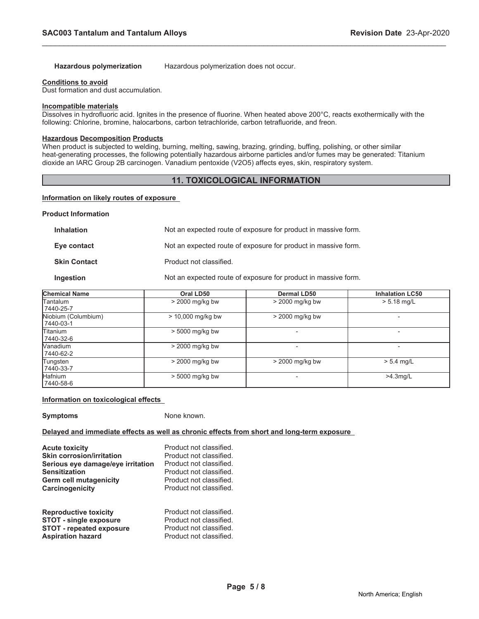**Hazardous polymerization** Hazardous polymerization does not occur.

\_\_\_\_\_\_\_\_\_\_\_\_\_\_\_\_\_\_\_\_\_\_\_\_\_\_\_\_\_\_\_\_\_\_\_\_\_\_\_\_\_\_\_\_\_\_\_\_\_\_\_\_\_\_\_\_\_\_\_\_\_\_\_\_\_\_\_\_\_\_\_\_\_\_\_\_\_\_\_\_\_\_\_\_\_\_\_\_\_\_\_\_\_

#### **Conditions to avoid**

Dust formation and dust accumulation.

#### **Incompatible materials**

Dissolves in hydrofluoric acid. Ignites in the presence of fluorine. When heated above 200°C, reacts exothermically with the following: Chlorine, bromine, halocarbons, carbon tetrachloride, carbon tetrafluoride, and freon.

# **Hazardous Decomposition Products**

When product is subjected to welding, burning, melting, sawing, brazing, grinding, buffing, polishing, or other similar heat-generating processes, the following potentially hazardous airborne particles and/or fumes may be generated: Titanium dioxide an IARC Group 2B carcinogen. Vanadium pentoxide (V2O5) affects eyes, skin, respiratory system.

# **11. TOXICOLOGICAL INFORMATION**

# **Information on likely routes of exposure**

#### **Product Information**

| <b>Inhalation</b>   | Not an expected route of exposure for product in massive form. |
|---------------------|----------------------------------------------------------------|
| Eye contact         | Not an expected route of exposure for product in massive form. |
| <b>Skin Contact</b> | Product not classified.                                        |
| Ingestion           | Not an expected route of exposure for product in massive form. |

| <b>Chemical Name</b>             | Oral LD50           | <b>Dermal LD50</b> | <b>Inhalation LC50</b> |
|----------------------------------|---------------------|--------------------|------------------------|
| lTantalum<br>7440-25-7           | $>$ 2000 mg/kg bw   | $>$ 2000 mg/kg bw  | $> 5.18$ mg/L          |
| Niobium (Columbium)<br>7440-03-1 | $> 10,000$ mg/kg bw | > 2000 mg/kg bw    |                        |
| lTitanium<br>7440-32-6           | > 5000 mg/kg bw     |                    |                        |
| Wanadium<br>7440-62-2            | > 2000 mg/kg bw     |                    |                        |
| Tungsten<br>7440-33-7            | $>$ 2000 mg/kg bw   | $>$ 2000 mg/kg bw  | $> 5.4$ mg/L           |
| <b>Hafnium</b><br>7440-58-6      | $> 5000$ mg/kg bw   |                    | $>4.3$ mg/L            |

# **Information on toxicological effects**

**Symptoms** None known.

# **Delayed and immediate effects as well as chronic effects from short and long-term exposure**

| <b>Acute toxicity</b>             | Product not classified. |
|-----------------------------------|-------------------------|
| <b>Skin corrosion/irritation</b>  | Product not classified. |
| Serious eye damage/eye irritation | Product not classified. |
| Sensitization                     | Product not classified. |
| Germ cell mutagenicity            | Product not classified. |
| Carcinogenicity                   | Product not classified. |
| <b>Reproductive toxicity</b>      | Product not classified. |
| <b>STOT - single exposure</b>     | Product not classified. |
| <b>STOT - repeated exposure</b>   | Product not classified. |

**Aspiration hazard Product not classified.**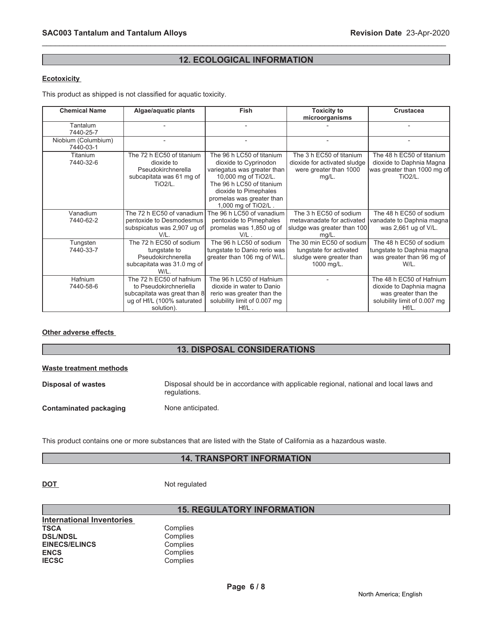# **12. ECOLOGICAL INFORMATION**

\_\_\_\_\_\_\_\_\_\_\_\_\_\_\_\_\_\_\_\_\_\_\_\_\_\_\_\_\_\_\_\_\_\_\_\_\_\_\_\_\_\_\_\_\_\_\_\_\_\_\_\_\_\_\_\_\_\_\_\_\_\_\_\_\_\_\_\_\_\_\_\_\_\_\_\_\_\_\_\_\_\_\_\_\_\_\_\_\_\_\_\_\_

# **Ecotoxicity**

This product as shipped is not classified for aquatic toxicity.

| <b>Chemical Name</b>             | Algae/aquatic plants                                                                                                           | Fish                                                                                                                                                                                                                | <b>Toxicity to</b><br>microorganisms                                                           | <b>Crustacea</b>                                                                                                      |
|----------------------------------|--------------------------------------------------------------------------------------------------------------------------------|---------------------------------------------------------------------------------------------------------------------------------------------------------------------------------------------------------------------|------------------------------------------------------------------------------------------------|-----------------------------------------------------------------------------------------------------------------------|
| Tantalum<br>7440-25-7            |                                                                                                                                |                                                                                                                                                                                                                     |                                                                                                |                                                                                                                       |
| Niobium (Columbium)<br>7440-03-1 |                                                                                                                                |                                                                                                                                                                                                                     |                                                                                                |                                                                                                                       |
| Titanium<br>7440-32-6            | The 72 h EC50 of titanium<br>dioxide to<br>Pseudokirchnerella<br>subcapitata was 61 mg of<br><b>TiO2/L.</b>                    | The 96 h LC50 of titanium<br>dioxide to Cyprinodon<br>variegatus was greater than<br>10,000 mg of TiO2/L.<br>The 96 h LC50 of titanium<br>dioxide to Pimephales<br>promelas was greater than<br>1,000 mg of TiO2/L. | The 3 h EC50 of titanium<br>dioxide for activated sludge<br>were greater than 1000<br>$mg/L$ . | The 48 h EC50 of titanium<br>dioxide to Daphnia Magna<br>was greater than 1000 mg of<br><b>TiO2/L.</b>                |
| Vanadium<br>7440-62-2            | The 72 h EC50 of vanadium<br>pentoxide to Desmodesmus<br>subspicatus was 2,907 ug of<br>V/I                                    | The 96 h LC50 of vanadium<br>pentoxide to Pimephales<br>promelas was 1,850 ug of<br>V/L                                                                                                                             | The 3 h EC50 of sodium<br>metavanadate for activated<br>sludge was greater than 100<br>mg/L    | The 48 h EC50 of sodium<br>vanadate to Daphnia magna<br>was 2,661 ug of V/L.                                          |
| Tungsten<br>7440-33-7            | The 72 h EC50 of sodium<br>tungstate to<br>Pseudokirchnerella<br>subcapitata was 31.0 mg of<br>W/L.                            | The 96 h LC50 of sodium<br>tungstate to Danio rerio was<br>greater than 106 mg of W/L.                                                                                                                              | The 30 min EC50 of sodium<br>tungstate for activated<br>sludge were greater than<br>1000 mg/L. | The 48 h EC50 of sodium<br>tungstate to Daphnia magna<br>was greater than 96 mg of<br>W/L.                            |
| <b>Hafnium</b><br>7440-58-6      | The 72 h EC50 of hafnium<br>to Pseudokirchneriella<br>subcapitata was great than 8<br>ug of Hf/L (100% saturated<br>solution). | The 96 h LC50 of Hafnium<br>dioxide in water to Danio<br>rerio was greater than the<br>solubility limit of 0.007 mg<br>$Hf/L$ .                                                                                     |                                                                                                | The 48 h EC50 of Hafnium<br>dioxide to Daphnia magna<br>was greater than the<br>solubility limit of 0.007 mg<br>Hf/L. |

# **Other adverse effects**

# **13. DISPOSAL CONSIDERATIONS**

| Waste treatment methods |                                                                                                        |
|-------------------------|--------------------------------------------------------------------------------------------------------|
| Disposal of wastes      | Disposal should be in accordance with applicable regional, national and local laws and<br>regulations. |
| Contaminated packaging  | None anticipated.                                                                                      |

This product contains one or more substances that are listed with the State of California as a hazardous waste.

# **14. TRANSPORT INFORMATION**

**DOT** Not regulated

Complies Complies Complies **Complies** Complies

| International Inventories |  |
|---------------------------|--|
| TSCA                      |  |
| <b>DSL/NDSL</b>           |  |
| <b>EINECS/ELINCS</b>      |  |
| <b>ENCS</b>               |  |
| <b>IECSC</b>              |  |

# **15. REGULATORY INFORMATION**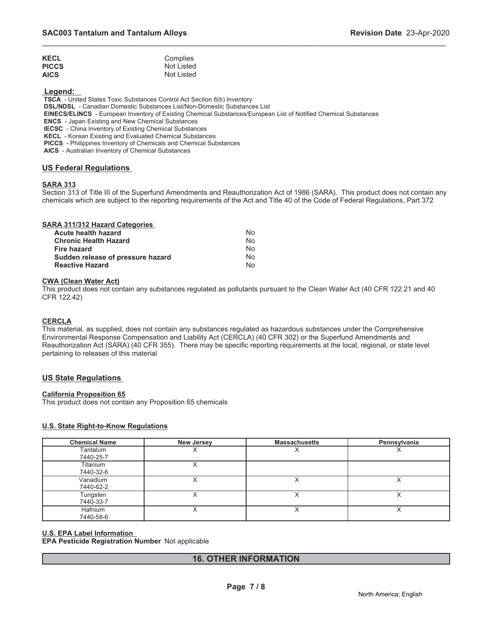| <b>KECL</b>  | Complies   |
|--------------|------------|
| <b>PICCS</b> | Not Listed |
| <b>AICS</b>  | Not Listed |

 **Legend:** 

 **TSCA** - United States Toxic Substances Control Act Section 8(b) Inventory

 **DSL/NDSL** - Canadian Domestic Substances List/Non-Domestic Substances List

 **EINECS/ELINCS** - European Inventory of Existing Chemical Substances/European List of Notified Chemical Substances

 **ENCS** - Japan Existing and New Chemical Substances

 **IECSC** - China Inventory of Existing Chemical Substances

 **KECL** - Korean Existing and Evaluated Chemical Substances

 **PICCS** - Philippines Inventory of Chemicals and Chemical Substances

 **AICS** - Australian Inventory of Chemical Substances

# **US Federal Regulations**

# **SARA 313**

Section 313 of Title III of the Superfund Amendments and Reauthorization Act of 1986 (SARA). This product does not contain any chemicals which are subject to the reporting requirements of the Act and Title 40 of the Code of Federal Regulations, Part 372

\_\_\_\_\_\_\_\_\_\_\_\_\_\_\_\_\_\_\_\_\_\_\_\_\_\_\_\_\_\_\_\_\_\_\_\_\_\_\_\_\_\_\_\_\_\_\_\_\_\_\_\_\_\_\_\_\_\_\_\_\_\_\_\_\_\_\_\_\_\_\_\_\_\_\_\_\_\_\_\_\_\_\_\_\_\_\_\_\_\_\_\_\_

| SARA 311/312 Hazard Categories    |    |
|-----------------------------------|----|
| <b>Acute health hazard</b>        | No |
| <b>Chronic Health Hazard</b>      | No |
| Fire hazard                       | No |
| Sudden release of pressure hazard | No |
| <b>Reactive Hazard</b>            | No |

# **CWA (Clean Water Act)**

This product does not contain any substances regulated as pollutants pursuant to the Clean Water Act (40 CFR 122.21 and 40 CFR 122.42)

# **CERCLA**

This material, as supplied, does not contain any substances regulated as hazardous substances under the Comprehensive Environmental Response Compensation and Liability Act (CERCLA) (40 CFR 302) or the Superfund Amendments and Reauthorization Act (SARA) (40 CFR 355). There may be specific reporting requirements at the local, regional, or state level pertaining to releases of this material

# **US State Regulations**

# **California Proposition 65**

This product does not contain any Proposition 65 chemicals

# **U.S. State Right-to-Know Regulations**

| <b>Chemical Name</b>  | <b>New Jersey</b> | <b>Massachusetts</b> | Pennsylvania |
|-----------------------|-------------------|----------------------|--------------|
| Tantalum<br>7440-25-7 |                   |                      |              |
| Titanium<br>7440-32-6 | ⌒                 |                      |              |
| Vanadium<br>7440-62-2 |                   |                      |              |
| Tungsten<br>7440-33-7 | ⌒                 | ∧                    |              |
| Hafnium<br>7440-58-6  |                   |                      |              |

# **U.S. EPA Label Information**

**EPA Pesticide Registration Number** Not applicable

# **16. OTHER INFORMATION**